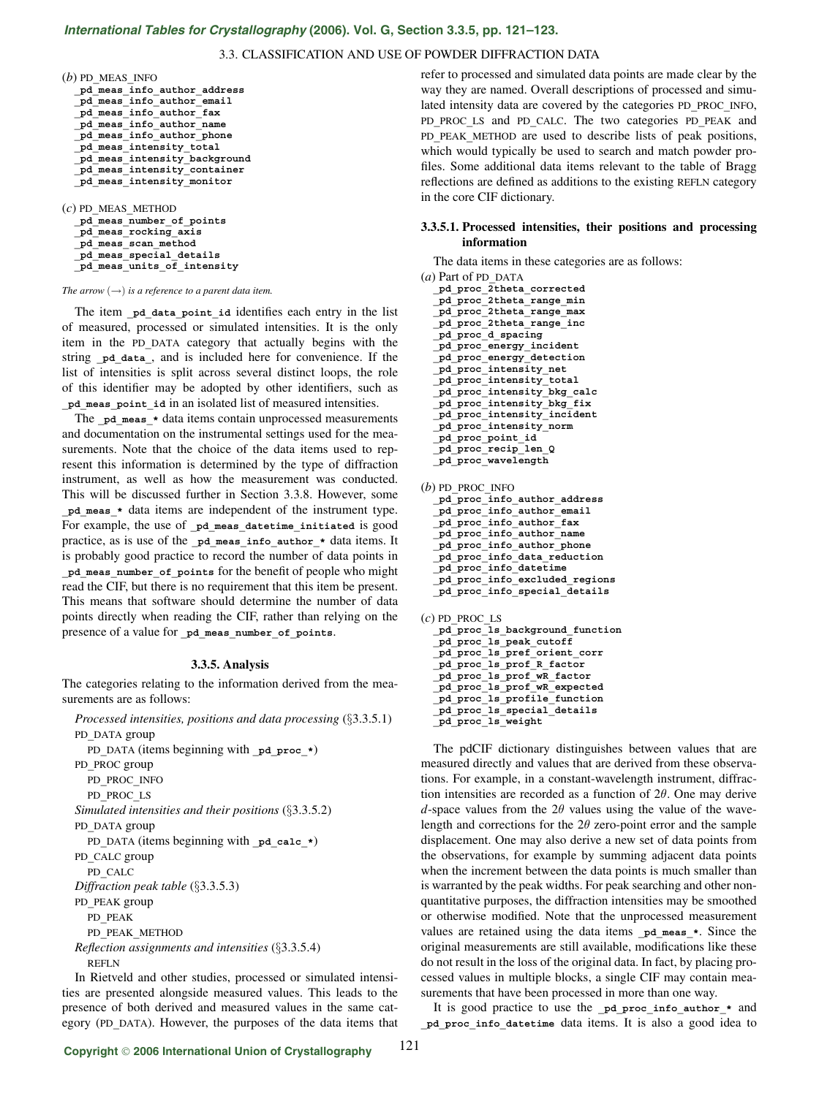# *International Tables for Crystallography* **[\(2006\). Vol. G, Section 3.3.5, pp. 121–123.](http://it.iucr.org/Ga/ch3o3v0001/sec3o3o5/)**

# 3.3. CLASSIFICATION AND USE OF POWDER DIFFRACTION DATA

| $(b)$ PD MEAS INFO           |
|------------------------------|
| pd meas info author address  |
| pd meas info author email    |
| pd meas info author fax      |
| pd meas info author name     |
| pd meas info author phone    |
| pd meas intensity total      |
| pd meas intensity background |
| pd meas intensity container  |
| pd meas intensity monitor    |
|                              |

(*c*) PD**\_**MEAS**\_**METHOD **\_pd\_meas\_number\_of\_points \_pd\_meas\_rocking\_axis \_pd\_meas\_scan\_method \_pd\_meas\_special\_details \_pd\_meas\_units\_of\_intensity**

#### *The arrow*  $(\rightarrow)$  *is a reference to a parent data item.*

The item **\_pd\_data\_point\_id** identifies each entry in the list of measured, processed or simulated intensities. It is the only item in the PD**\_**DATA category that actually begins with the string **\_pd\_data\_**, and is included here for convenience. If the list of intensities is split across several distinct loops, the role of this identifier may be adopted by other identifiers, such as **\_pd\_meas\_point\_id** in an isolated list of measured intensities.

The **pd** meas \* data items contain unprocessed measurements and documentation on the instrumental settings used for the measurements. Note that the choice of the data items used to represent this information is determined by the type of diffraction instrument, as well as how the measurement was conducted. This will be discussed further in Section 3.3.8. However, some **\_pd\_meas\_\*** data items are independent of the instrument type. For example, the use of pd meas datetime initiated is good practice, as is use of the **\_pd\_meas\_info\_author\_\*** data items. It is probably good practice to record the number of data points in **\_pd\_meas\_number\_of\_points** for the benefit of people who might read the CIF, but there is no requirement that this item be present. This means that software should determine the number of data points directly when reading the CIF, rather than relying on the presence of a value for **\_pd\_meas\_number\_of\_points**.

## **3.3.5. Analysis**

The categories relating to the information derived from the measurements are as follows:

*Processed intensities, positions and data processing* (§3.3.5.1) PD**\_**DATA group PD DATA (items beginning with **pd** proc \*) PD**\_**PROC group PD**\_**PROC**\_**INFO PD**\_**PROC**\_**LS *Simulated intensities and their positions* (§3.3.5.2) PD**\_**DATA group PD DATA (items beginning with pd calc \*) PD**\_**CALC group PD**\_**CALC *Diffraction peak table* (§3.3.5.3) PD**\_**PEAK group PD**\_**PEAK PD**\_**PEAK**\_**METHOD *Reflection assignments and intensities* (§3.3.5.4) REFLN

In Rietveld and other studies, processed or simulated intensities are presented alongside measured values. This leads to the presence of both derived and measured values in the same category (PD**\_**DATA). However, the purposes of the data items that refer to processed and simulated data points are made clear by the way they are named. Overall descriptions of processed and simulated intensity data are covered by the categories PD**\_**PROC**\_**INFO, PD**\_**PROC**\_**LS and PD**\_**CALC. The two categories PD**\_**PEAK and PD PEAK METHOD are used to describe lists of peak positions, which would typically be used to search and match powder profiles. Some additional data items relevant to the table of Bragg reflections are defined as additions to the existing REFLN category in the core CIF dictionary.

## **3.3.5.1. Processed intensities, their positions and processing information**

The data items in these categories are as follows:

(*a*) Part of PD**\_**DATA **\_pd\_proc\_2theta\_corrected \_pd\_proc\_2theta\_range\_min \_pd\_proc\_2theta\_range\_max \_pd\_proc\_2theta\_range\_inc \_pd\_proc\_d\_spacing \_pd\_proc\_energy\_incident \_pd\_proc\_energy\_detection \_pd\_proc\_intensity\_net \_pd\_proc\_intensity\_total \_pd\_proc\_intensity\_bkg\_calc \_pd\_proc\_intensity\_bkg\_fix \_pd\_proc\_intensity\_incident \_pd\_proc\_intensity\_norm \_pd\_proc\_point\_id \_pd\_proc\_recip\_len\_Q \_pd\_proc\_wavelength** (*b*) PD**\_**PROC**\_**INFO **\_pd\_proc\_info\_author\_address**

**\_pd\_proc\_info\_author\_email \_pd\_proc\_info\_author\_fax \_pd\_proc\_info\_author\_name \_pd\_proc\_info\_author\_phone \_pd\_proc\_info\_data\_reduction \_pd\_proc\_info\_datetime \_pd\_proc\_info\_excluded\_regions \_pd\_proc\_info\_special\_details**

```
(c) PD_PROC_LS
 _pd_proc_ls_background_function
  _pd_proc_ls_peak_cutoff
 _pd_proc_ls_pref_orient_corr
  _pd_proc_ls_prof_R_factor
  _pd_proc_ls_prof_wR_factor
  _pd_proc_ls_prof_wR_expected
  _pd_proc_ls_profile_function
 _pd_proc_ls_special_details
  _pd_proc_ls_weight
```
The pdCIF dictionary distinguishes between values that are measured directly and values that are derived from these observations. For example, in a constant-wavelength instrument, diffraction intensities are recorded as a function of  $2\theta$ . One may derive *d*-space values from the  $2\theta$  values using the value of the wavelength and corrections for the  $2\theta$  zero-point error and the sample displacement. One may also derive a new set of data points from the observations, for example by summing adjacent data points when the increment between the data points is much smaller than is warranted by the peak widths. For peak searching and other nonquantitative purposes, the diffraction intensities may be smoothed or otherwise modified. Note that the unprocessed measurement values are retained using the data items pd meas  $*$ . Since the original measurements are still available, modifications like these do not result in the loss of the original data. In fact, by placing processed values in multiple blocks, a single CIF may contain measurements that have been processed in more than one way.

It is good practice to use the **\_pd\_proc\_info\_author\_\*** and **\_pd\_proc\_info\_datetime** data items. It is also a good idea to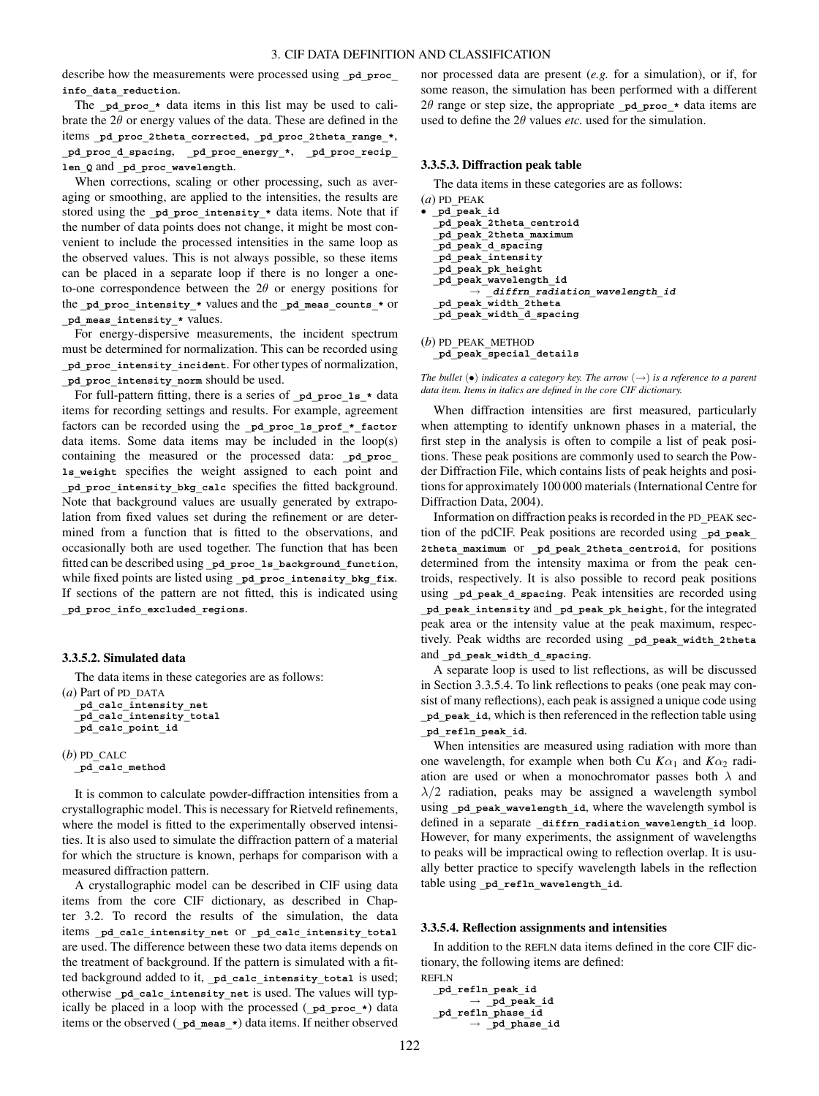describe how the measurements were processed using pd proc **info\_data\_reduction**.

The **pd** proc  $*$  data items in this list may be used to calibrate the  $2\theta$  or energy values of the data. These are defined in the items **\_pd\_proc\_2theta\_corrected**, **\_pd\_proc\_2theta\_range\_\***, **\_pd\_proc\_d\_spacing**, **\_pd\_proc\_energy\_\***, **\_pd\_proc\_recip\_ len\_Q** and **\_pd\_proc\_wavelength**.

When corrections, scaling or other processing, such as averaging or smoothing, are applied to the intensities, the results are stored using the pd proc intensity \* data items. Note that if the number of data points does not change, it might be most convenient to include the processed intensities in the same loop as the observed values. This is not always possible, so these items can be placed in a separate loop if there is no longer a oneto-one correspondence between the  $2\theta$  or energy positions for the **\_pd\_proc\_intensity\_\*** values and the **\_pd\_meas\_counts\_\*** or **\_pd\_meas\_intensity\_\*** values.

For energy-dispersive measurements, the incident spectrum must be determined for normalization. This can be recorded using **\_pd\_proc\_intensity\_incident**. For other types of normalization, **\_pd\_proc\_intensity\_norm** should be used.

For full-pattern fitting, there is a series of pd proc 1s \* data items for recording settings and results. For example, agreement factors can be recorded using the pd proc\_ls\_prof\_\*\_factor data items. Some data items may be included in the loop(s) containing the measured or the processed data: **\_pd\_proc\_ ls\_weight** specifies the weight assigned to each point and **\_pd\_proc\_intensity\_bkg\_calc** specifies the fitted background. Note that background values are usually generated by extrapolation from fixed values set during the refinement or are determined from a function that is fitted to the observations, and occasionally both are used together. The function that has been fitted can be described using **\_pd\_proc\_ls\_background\_function**, while fixed points are listed using **\_pd\_proc\_intensity\_bkg\_fix**. If sections of the pattern are not fitted, this is indicated using **\_pd\_proc\_info\_excluded\_regions**.

# **3.3.5.2. Simulated data**

The data items in these categories are as follows: (*a*) Part of PD**\_**DATA **\_pd\_calc\_intensity\_net \_pd\_calc\_intensity\_total \_pd\_calc\_point\_id**

```
(b) PD_CALC
  _pd_calc_method
```
It is common to calculate powder-diffraction intensities from a crystallographic model. This is necessary for Rietveld refinements, where the model is fitted to the experimentally observed intensities. It is also used to simulate the diffraction pattern of a material for which the structure is known, perhaps for comparison with a measured diffraction pattern.

A crystallographic model can be described in CIF using data items from the core CIF dictionary, as described in Chapter 3.2. To record the results of the simulation, the data items **\_pd\_calc\_intensity\_net** or **\_pd\_calc\_intensity\_total** are used. The difference between these two data items depends on the treatment of background. If the pattern is simulated with a fitted background added to it, **\_pd\_calc\_intensity\_total** is used; otherwise **\_pd\_calc\_intensity\_net** is used. The values will typically be placed in a loop with the processed (**\_pd\_proc\_\***) data items or the observed (**\_pd\_meas\_\***) data items. If neither observed nor processed data are present (*e.g.* for a simulation), or if, for some reason, the simulation has been performed with a different 2 $\theta$  range or step size, the appropriate  $p$ **d** proc  $*$  data items are used to define the  $2\theta$  values *etc*. used for the simulation.

## **3.3.5.3. Diffraction peak table**

The data items in these categories are as follows:

```
(a) PD_PEAK
• _pd_peak_id
  _pd_peak_2theta_centroid
 _pd_peak_2theta_maximum
  _pd_peak_d_spacing
 _pd_peak_intensity
  _pd_peak_pk_height
  _pd_peak_wavelength_id
           diffrn_radiation_wavelength_id
  _pd_peak_width_2theta
  _pd_peak_width_d_spacing
```
(*b*) PD**\_**PEAK**\_**METHOD **\_pd\_peak\_special\_details**

*The bullet*  $\left( \bullet \right)$  *indicates a category key. The arrow*  $\left( \to \right)$  *is a reference to a parent data item. Items in italics are defined in the core CIF dictionary.*

When diffraction intensities are first measured, particularly when attempting to identify unknown phases in a material, the first step in the analysis is often to compile a list of peak positions. These peak positions are commonly used to search the Powder Diffraction File, which contains lists of peak heights and positions for approximately 100 000 materials (International Centre for Diffraction Data, 2004).

Information on diffraction peaks is recorded in the PD**\_**PEAK section of the pdCIF. Peak positions are recorded using **\_pd\_peak\_ 2theta\_maximum** or **\_pd\_peak\_2theta\_centroid**, for positions determined from the intensity maxima or from the peak centroids, respectively. It is also possible to record peak positions using pd peak d spacing. Peak intensities are recorded using **\_pd\_peak\_intensity** and **\_pd\_peak\_pk\_height**, for the integrated peak area or the intensity value at the peak maximum, respectively. Peak widths are recorded using **\_pd\_peak\_width\_2theta** and **\_pd\_peak\_width\_d\_spacing**.

A separate loop is used to list reflections, as will be discussed in Section 3.3.5.4. To link reflections to peaks (one peak may consist of many reflections), each peak is assigned a unique code using **\_pd\_peak\_id**, which is then referenced in the reflection table using **\_pd\_refln\_peak\_id**.

When intensities are measured using radiation with more than one wavelength, for example when both Cu  $K\alpha_1$  and  $K\alpha_2$  radiation are used or when a monochromator passes both  $\lambda$  and  $\lambda/2$  radiation, peaks may be assigned a wavelength symbol using pd peak wavelength id, where the wavelength symbol is defined in a separate diffrn radiation wavelength id loop. However, for many experiments, the assignment of wavelengths to peaks will be impractical owing to reflection overlap. It is usually better practice to specify wavelength labels in the reflection table using **\_pd\_refln\_wavelength\_id**.

## **3.3.5.4. Reflection assignments and intensities**

In addition to the REFLN data items defined in the core CIF dictionary, the following items are defined:

```
REFLN
  _pd_refln_peak_id
        → _pd_peak_id
  _pd_refln_phase_id
        → _pd_phase_id
```